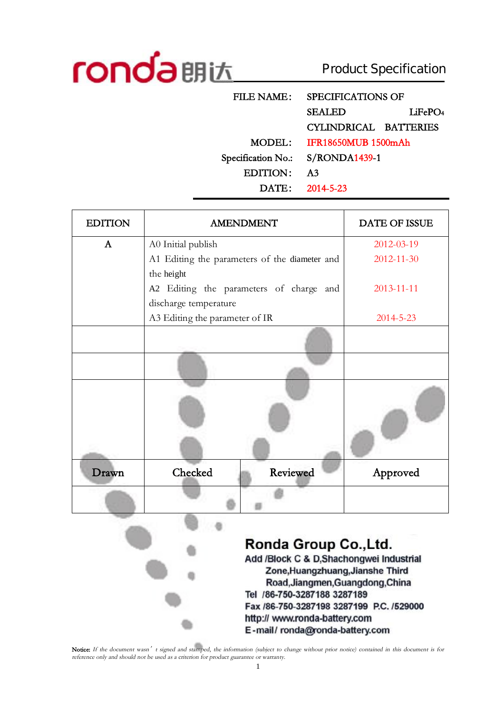

 $\bullet$ 

Product Specification

| FILE NAME:         | SPECIFICATIONS OF          |                     |
|--------------------|----------------------------|---------------------|
|                    | <b>SEALED</b>              | LiFePO <sub>4</sub> |
|                    | CYLINDRICAL BATTERIES      |                     |
| MODEL:             | <b>IFR18650MUB 1500mAh</b> |                     |
| Specification No.: | $S/RONDA1439-1$            |                     |
| EDITION:           | A3                         |                     |
|                    | DATE: 2014-5-23            |                     |

| <b>EDITION</b> | <b>AMENDMENT</b>                              | DATE OF ISSUE   |
|----------------|-----------------------------------------------|-----------------|
| $\mathbf{A}$   | A0 Initial publish                            | 2012-03-19      |
|                | A1 Editing the parameters of the diameter and | 2012-11-30      |
|                | the height                                    |                 |
|                | A2 Editing the parameters of charge and       | 2013-11-11      |
|                | discharge temperature                         |                 |
|                | A3 Editing the parameter of IR                | $2014 - 5 - 23$ |
|                |                                               |                 |
|                |                                               |                 |
|                |                                               |                 |
| Drawn          | Checked<br>Reviewed                           | Approved        |
|                |                                               |                 |

### Ronda Group Co., Ltd. Add /Block C & D, Shachongwei Industrial Zone, Huangzhuang, Jianshe Third Road, Jiangmen, Guangdong, China Tel /86-750-3287188 3287189

Fax /86-750-3287198 3287199 P.C. /529000 http:// www.ronda-battery.com E-mail/ronda@ronda-battery.com

Notice: If the document wasn't signed and stamped, the information (subject to change without prior notice) contained in this document is for *reference only and should not be used as <sup>a</sup> criterion for product guarantee or warranty.*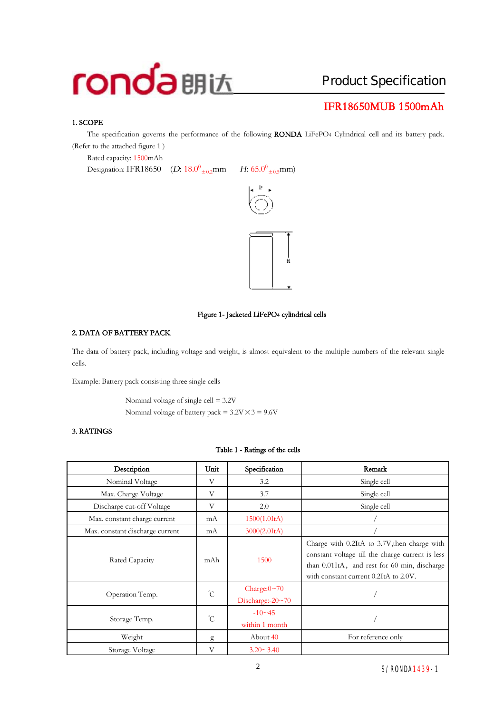# Product Specification

# **IFR18650MUB 1500mAh**

#### **1. SCOPE**

The specification governs the performance of the following **RONDA** LiFePO4 Cylindrical cell and its battery pack. (Refer to the attached figure 1 )

Rated capacity: 1500mAh

Designation: IFR18650 (*D*:  $18.0^0_{+0.2}$ mm

 $_{\pm 0.2}$ mm *H*: 65.0<sup>0</sup><sub>±0.5</sub>mm)





#### **Figure 1- Jacketed LiFePO4 cylindrical cells**

#### **2. DATA OF BATTERY PACK**

The data of battery pack, including voltage and weight, is almost equivalent to the multiple numbers of the relevant single cells.

Example: Battery pack consisting three single cells

Nominal voltage of single cell = 3.2V Nominal voltage of battery pack =  $3.2V \times 3 = 9.6V$ 

#### **3. RATINGS**

#### **Table 1 - Ratings of the cells**

| Description                     | Unit            | Specification                           | Remark                                                                                                                                                                                    |
|---------------------------------|-----------------|-----------------------------------------|-------------------------------------------------------------------------------------------------------------------------------------------------------------------------------------------|
| Nominal Voltage                 | V               | 3.2                                     | Single cell                                                                                                                                                                               |
| Max. Charge Voltage             | V               | 3.7                                     | Single cell                                                                                                                                                                               |
| Discharge cut-off Voltage       | V               | 2.0                                     | Single cell                                                                                                                                                                               |
| Max. constant charge current    | mA              | 1500(1.0ItA)                            |                                                                                                                                                                                           |
| Max. constant discharge current | mA              | 3000(2.0ItA)                            |                                                                                                                                                                                           |
| Rated Capacity                  | mAh             | 1500                                    | Charge with 0.2ItA to 3.7V, then charge with<br>constant voltage till the charge current is less<br>than 0.01ItA, and rest for 60 min, discharge<br>with constant current 0.2ItA to 2.0V. |
| Operation Temp.                 | $\rm ^{\circ}C$ | Charge: $0 \sim 70$<br>Discharge:-20~70 |                                                                                                                                                                                           |
| Storage Temp.                   | $\rm ^{\circ}C$ | $-10 - 45$<br>within 1 month            |                                                                                                                                                                                           |
| Weight                          | g               | About 40                                | For reference only                                                                                                                                                                        |
| Storage Voltage                 | V               | $3.20 - 3.40$                           |                                                                                                                                                                                           |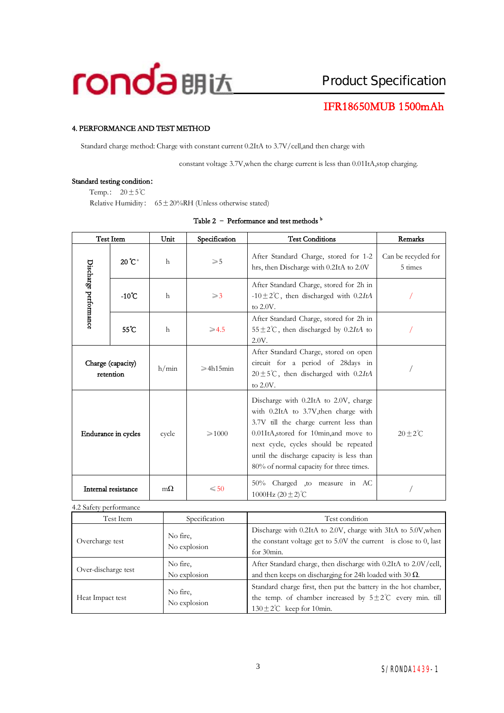

## **IFR18650MUB 1500mAh**

#### **4. PERFORMANCE AND TEST METHOD**

Standard charge method: Charge with constant current 0.2ItA to 3.7V/cell,and then charge with

constant voltage 3.7V,when the charge current is less than 0.01ItA,stop charging.

#### **Standard testing condition:**

Temp.:  $20 \pm 5^{\circ}$ C

Relative Humidity:  $65 \pm 20\% RH$  (Unless otherwise stated)

|                       | Test Item                      | Unit         | Specification       | <b>Test Conditions</b>                                                                                                                                                                                                                                                                              | <b>Remarks</b>                 |
|-----------------------|--------------------------------|--------------|---------------------|-----------------------------------------------------------------------------------------------------------------------------------------------------------------------------------------------------------------------------------------------------------------------------------------------------|--------------------------------|
|                       | 20°C <sup>a</sup>              | $\mathsf{h}$ | $\geqslant 5$       | After Standard Charge, stored for 1-2<br>hrs, then Discharge with 0.2ItA to 2.0V                                                                                                                                                                                                                    | Can be recycled for<br>5 times |
| Discharge performance | $-10^{\circ}$ C                | $\mathsf{h}$ | $\geqslant$ 3       | After Standard Charge, stored for 2h in<br>-10 $\pm$ 2°C, then discharged with 0.2ItA<br>to 2.0V.                                                                                                                                                                                                   |                                |
|                       | $55^{\circ}$ C                 | $\mathsf{h}$ | $\geqslant$ 4.5     | After Standard Charge, stored for 2h in<br>$55 \pm 2^{\circ}$ C, then discharged by 0.2ItA to<br>2.0V.                                                                                                                                                                                              |                                |
|                       | Charge (capacity)<br>retention | h/min        | $\geqslant$ 4h15min | After Standard Charge, stored on open<br>circuit for a period of 28 days in<br>$20 \pm 5^{\circ}$ C, then discharged with 0.2ItA<br>to 2.0V.                                                                                                                                                        |                                |
|                       | Endurance in cycles            | cycle        | $\geqslant 1000$    | Discharge with 0.2ItA to 2.0V, charge<br>with 0.2ItA to 3.7V, then charge with<br>3.7V till the charge current less than<br>0.01ItA, stored for 10min, and move to<br>next cycle, cycles should be repeated<br>until the discharge capacity is less than<br>80% of normal capacity for three times. | $20 \pm 2^{\circ}$ C           |
|                       | Internal resistance            | $m\Omega$    | $\leqslant$ 50      | 50% Charged ,to measure in AC<br>1000Hz $(20 \pm 2)$ °C                                                                                                                                                                                                                                             |                                |

#### **Table 2 – Performance and test methods <sup>b</sup>**

4.2 Safety performance

| Test Item           | Specification            | Test condition                                                                                                                                                                 |
|---------------------|--------------------------|--------------------------------------------------------------------------------------------------------------------------------------------------------------------------------|
| Overcharge test     | No fire,<br>No explosion | Discharge with 0.2ItA to 2.0V, charge with 3ItA to 5.0V, when<br>the constant voltage get to 5.0V the current is close to 0, last<br>for 30min.                                |
| Over-discharge test | No fire,<br>No explosion | After Standard charge, then discharge with 0.2ItA to 2.0V/cell,<br>and then keeps on discharging for 24h loaded with 30 $\Omega$ .                                             |
| Heat Impact test    | No fire,<br>No explosion | Standard charge first, then put the battery in the hot chamber,<br>the temp. of chamber increased by $5\pm2\degree$ C every min. till<br>$130 \pm 2^{\circ}$ C keep for 10min. |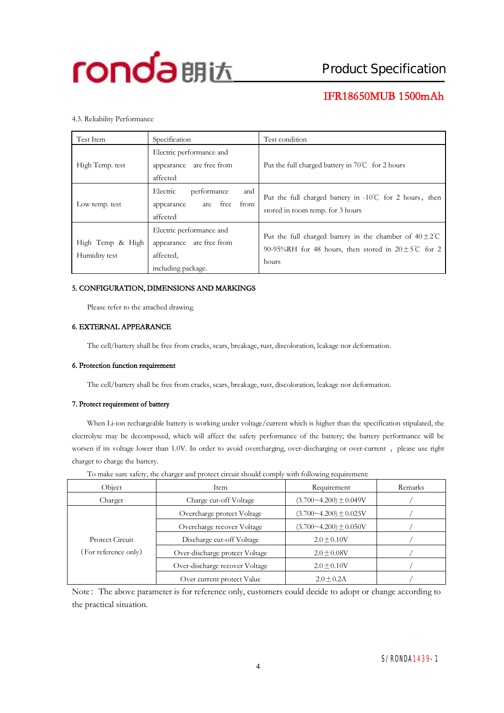

## **IFR18650MUB 1500mAh**

#### 4.3. Reliability Performance

| Test Item                         | Specification                                                                           | Test condition                                                                                                                              |
|-----------------------------------|-----------------------------------------------------------------------------------------|---------------------------------------------------------------------------------------------------------------------------------------------|
| High Temp. test                   | Electric performance and<br>appearance are free from<br>affected                        | Put the full charged battery in 70℃ for 2 hours                                                                                             |
| Low temp. test                    | Electric<br>and<br>performance<br>are free from<br>appearance<br>affected               | Put the full charged battery in $-10^{\circ}$ C for 2 hours, then<br>stored in room temp. for 3 hours                                       |
| High Temp & High<br>Humidity test | Electric performance and<br>appearance are free from<br>affected.<br>including package. | Put the full charged battery in the chamber of $40\pm2\degree$ C<br>90-95%RH for 48 hours, then stored in $20 \pm 5^{\circ}$ for 2<br>hours |

#### **5. CONFIGURATION, DIMENSIONS AND MARKINGS**

Please refer to the attached drawing.

#### **6. EXTERNAL APPEARANCE**

The cell/battery shall be free from cracks, scars, breakage, rust, discoloration, leakage nor deformation.

#### **6. Protection function requirement**

The cell/battery shall be free from cracks, scars, breakage, rust, discoloration, leakage nor deformation.

#### **7. Protect requirement of battery**

When Li-ion rechargeable battery is working under voltage/current which is higher than the specification stipulated, the electrolyte may be decomposed, which will affect the safety performance of the battery; the battery performance will be worsen if its voltage lower than 1.0V. In order to avoid overcharging, over-discharging or over-current, please use right charger to charge the battery.

|                      | . .                            |                              |         |
|----------------------|--------------------------------|------------------------------|---------|
| Object               | Item                           | Requirement                  | Remarks |
| Charger              | Charge cut-off Voltage         | $(3.700 - 4.200) \pm 0.049V$ |         |
|                      | Overcharge protect Voltage     | $(3.700 - 4.200) \pm 0.025V$ |         |
|                      | Overcharge recover Voltage     | $(3.700 - 4.200) \pm 0.050V$ |         |
| Protect Circuit      | Discharge cut-off Voltage      | $2.0 + 0.10V$                |         |
| (For reference only) | Over-discharge protect Voltage | $2.0 \pm 0.08V$              |         |
|                      | Over-discharge recover Voltage | $2.0 \pm 0.10V$              |         |
|                      | Over current protect Value     | $2.0 \pm 0.2$ A              |         |

To make sure safety, the charger and protect circuit should comply with following requirement:

Note: The above parameter is for reference only, customers could decide to adopt or change according to the practical situation.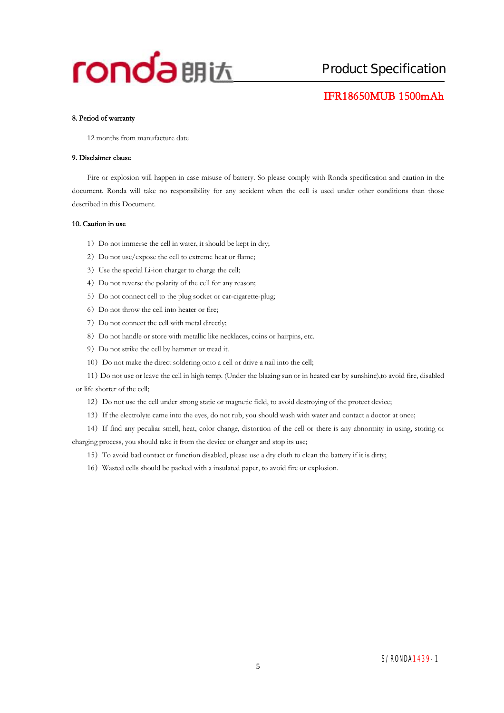### **IFR18650MUB 1500mAh**

#### **8. Period of warranty**

12 months from manufacture date

#### **9. Disclaimer clause**

Fire or explosion will happen in case misuse of battery. So please comply with Ronda specification and caution in the document. Ronda will take no responsibility for any accident when the cell is used under other conditions than those described in this Document.

#### **10. Caution in use**

- 1) Do not immerse the cell in water, it should be kept in dry;
- 2) Do not use/expose the cell to extreme heat or flame;
- 3)Use the special Li-ion charger to charge the cell;
- 4) Do not reverse the polarity of the cell for any reason;
- 5) Do not connect cell to the plug socket or car-cigarette-plug;
- 6) Do not throw the cell into heater or fire;
- 7) Do not connect the cell with metal directly;
- 8) Do not handle or store with metallic like necklaces, coins or hairpins, etc.
- 9) Do not strike the cell by hammer or tread it.
- 10) Do not make the direct soldering onto a cell or drive a nail into the cell;
- 11)Do not use or leave the cell in high temp. (Under the blazing sun or in heated car by sunshine),to avoid fire, disabled or life shorter of the cell;
	- 12) Do not use the cell under strong static or magnetic field, to avoid destroying of the protect device;
	- 13)If the electrolyte came into the eyes, do not rub, you should wash with water and contact a doctor at once;
- 14)If find any peculiar smell, heat, color change, distortion of the cell or there is any abnormity in using, storing or charging process, you should take it from the device or charger and stop its use;
	- 15)To avoid bad contact or function disabled, please use a dry cloth to clean the battery if it is dirty;
	- 16)Wasted cells should be packed with a insulated paper, to avoid fire or explosion.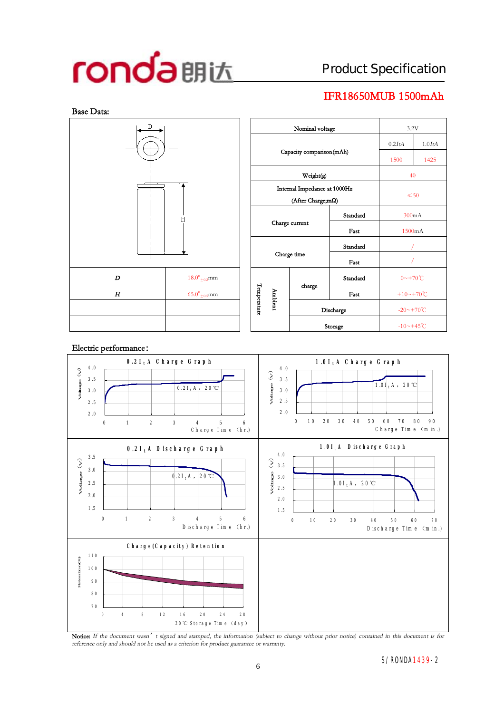# Product Specification

# **IFR18650MUB 1500mAh**





Notice: If the document wasn' t signed and stamped, the information (subject to change without prior notice) contained in this document is for *reference only and should not be used as <sup>a</sup> criterion for product guarantee or warranty.*

#### S/RONDA1439-2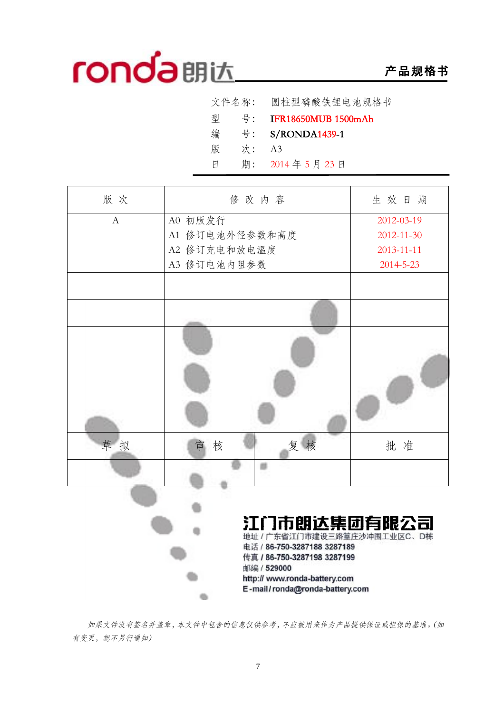# **产品规格书**

|   | 文件名称: | 圆柱型磷酸铁锂电池规格书               |
|---|-------|----------------------------|
| 型 | 号:    | <b>IFR18650MUB 1500mAh</b> |
| 编 | 号:    | S/RONDA1439-1              |
| 版 | 次:    | A3                         |
| Ħ | 期:    | 2014年5月23日                 |
|   |       |                            |

| 版次             | 修改内容                                                                                                                                                                                       | 生效日期             |
|----------------|--------------------------------------------------------------------------------------------------------------------------------------------------------------------------------------------|------------------|
| $\overline{A}$ | A0 初版发行                                                                                                                                                                                    | 2012-03-19       |
|                | A1 修订电池外径参数和高度                                                                                                                                                                             | $2012 - 11 - 30$ |
|                | A2 修订充电和放电温度                                                                                                                                                                               | $2013 - 11 - 11$ |
|                | A3 修订电池内阻参数                                                                                                                                                                                | $2014 - 5 - 23$  |
|                |                                                                                                                                                                                            |                  |
|                |                                                                                                                                                                                            |                  |
|                |                                                                                                                                                                                            |                  |
| 草拟             | 复核<br>核<br>审                                                                                                                                                                               | 批 准              |
|                |                                                                                                                                                                                            |                  |
|                | 江门市朗达集团有限公司<br>地址 / 广东省江门市建设三路篁庄沙冲围工业区C、D栋<br>电话 / 86-750-3287188 3287189<br>传真 / 86-750-3287198 3287199<br>邮编 / 529000<br>http:// www.ronda-battery.com<br>E-mail/ronda@ronda-battery.com |                  |

*如果文件没有签名并盖章,本文件中包含的信息仅供参考,不应被用来作为产品提供保证或担保的基准。(如 有变更,恕不另行通知)*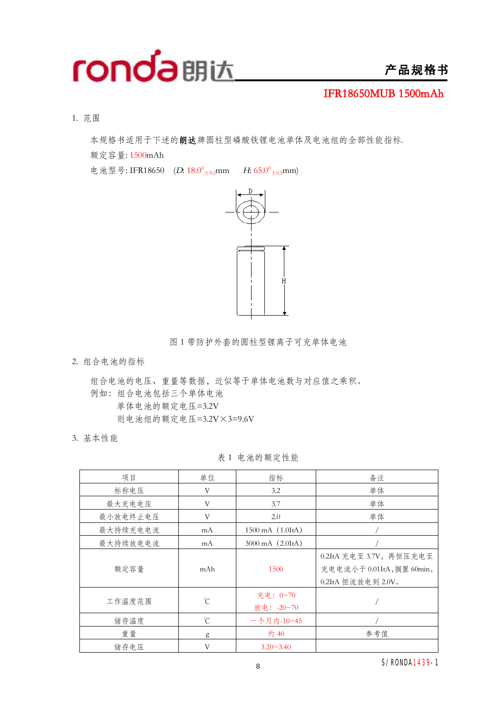

## **产品规格书**

**IFR18650MUB 1500mAh**

1. 范围

本规格书适用于下述的**朗达**牌圆柱型磷酸铁锂电池单体及电池组的全部性能指标.

额定容量: 1500mAh

电池型号: IFR18650 (D: 18.0<sup>0</sup><sub>±0.2</sub>mm *H*: 65.0<sup>0</sup><sub>±0.5</sub>mm)



图 1 带防护外套的圆柱型锂离子可充单体电池

2. 组合电池的指标

组合电池的电压、重量等数据,近似等于单体电池数与对应值之乘积。 例如:组合电池包括三个单体电池 单体电池的额定电压=3.2V 则电池组的额定电压=3.2V×3=9.6V

3. 基本性能

表 1 电池的额定性能

| 项目       | 单位              | 指标                           | 备注                                                                        |
|----------|-----------------|------------------------------|---------------------------------------------------------------------------|
| 标称电压     | V               | 3.2                          | 单体                                                                        |
| 最大充电电压   | V               | 3.7                          | 单体                                                                        |
| 最小放电终止电压 | V               | 2.0                          | 单体                                                                        |
| 最大持续充电电流 | mA              | 1500 mA (1.0ItA)             |                                                                           |
| 最大持续放电电流 | mA              | $3000 \text{ mA}$ $(2.01tA)$ |                                                                           |
| 额定容量     | mAh             | 1500                         | 0.2ItA 充电至 3.7V, 再恒压充电至<br>充电电流小于 0.01ItA,搁置 60min,<br>0.2ItA 恒流放电到 2.0V。 |
| 工作温度范围   | $\rm^{\circ}C$  | 充电: 0~70<br>放电: -20~70       |                                                                           |
| 储存温度     | $\rm ^{\circ}C$ | 一个月内-10~45                   |                                                                           |
| 重量       | g               | 约 40                         | 参考值                                                                       |
| 储存电压     | V               | $3.20 - 3.40$                |                                                                           |

S/RONDA1439-1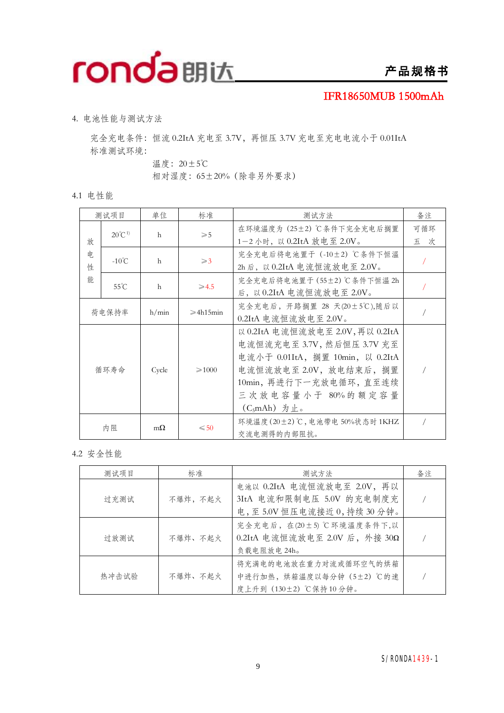

### **IFR18650MUB 1500mAh**

4. 电池性能与测试方法

完全充电条件: 恒流 0.2ItA 充电至 3.7V, 再恒压 3.7V 充电至充电电流小于 0.01ItA 标准测试环境:

温度:20±5℃

相对湿度:65±20%(除非另外要求)

4.1 电性能

|         | 测试项目              | 单位           | 标准                  | 测试方法                                                                                                                                                                                            | 备注         |
|---------|-------------------|--------------|---------------------|-------------------------------------------------------------------------------------------------------------------------------------------------------------------------------------------------|------------|
| 放       | $20^{\circ}C^{1}$ | $\mathsf{h}$ | $\geqslant 5$       | 在环境温度为 (25±2) ℃条件下完全充电后搁置<br>1-2 小时, 以 0.2ItA 放电至 2.0V。                                                                                                                                         | 可循环<br>五 次 |
| 申.<br>性 | $-10^{\circ}$ C   | h            | $\geqslant$ 3       | 完全充电后将电池置于 (-10±2) ℃条件下恒温<br>2h 后, 以 0.2ItA 电流恒流放电至 2.0V。                                                                                                                                       |            |
| 能       | $55^{\circ}$ C    | h            | $\geqslant$ 4.5     | 完全充电后将电池置于 (55±2)℃条件下恒温 2h<br>后, 以 0.2ItA 电流恒流放电至 2.0V。                                                                                                                                         |            |
|         | 荷电保持率             | h/min        | $\geqslant$ 4h15min | 完全充电后, 开路搁置 28 天(20±5℃),随后以<br>$0.2$ ItA 电流恒流放电至 2.0V。                                                                                                                                          |            |
|         | 循环寿命              | Cycle        | $\geqslant$ 1000    | 以 0.2ItA 电流恒流放电至 2.0V, 再以 0.2ItA<br>电流恒流充电至 3.7V, 然后恒压 3.7V 充至<br>电流小于 0.01ItA, 搁置 10min, 以 0.2ItA<br>电流恒流放电至 2.0V, 放电结束后, 搁置<br>10min, 再进行下一充放电循环, 直至连续<br>三次放电容量小于 80%的额定容量<br>$(C_5mAh)$ 为止。 |            |
|         | 内 阻               | $m\Omega$    | $\leq 50$           | 环境温度(20±2)℃, 电池带电 50%状态时 1KHZ<br>交流电测得的内部阻抗。                                                                                                                                                    |            |

4.2 安全性能

| 测试项目  | 标准       | 测试方法                                                                              | 备注 |
|-------|----------|-----------------------------------------------------------------------------------|----|
| 过充测试  | 不爆炸, 不起火 | 电池以 0.2ItA 电流恒流放电至 2.0V, 再以<br>3ItA 电流和限制电压 5.0V 的充电制度充<br>电,至5.0V恒压电流接近0,持续30分钟。 |    |
| 过放测试  | 不爆炸、不起火  | 完全充电后, 在(20±5)℃环境温度条件下,以<br>0.2ItA 电流恒流放电至 2.0V 后, 外接 30Ω<br>负载电阻放电 24h。          |    |
| 热冲击试验 | 不爆炸、不起火  | 将充满电的电池放在重力对流或循环空气的烘箱<br>中进行加热, 烘箱温度以每分钟 (5±2) ℃的速<br>度上升到 (130±2) ℃保持10分钟。       |    |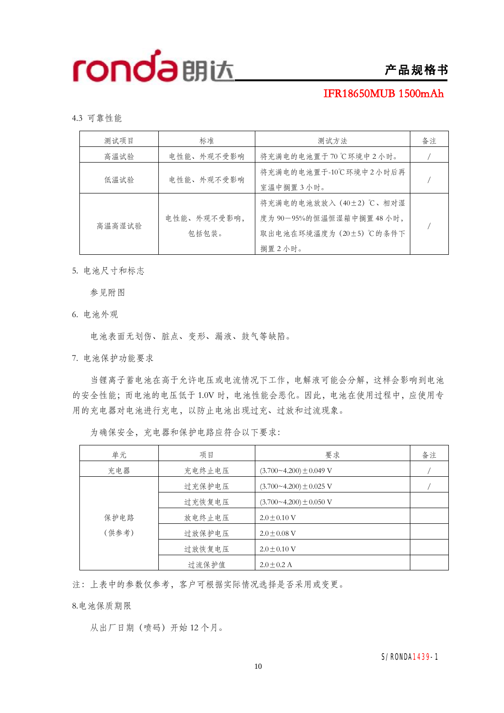# **产品规格书**

### **IFR18650MUB 1500mAh**

4.3 可靠性能

| 测试项目   | 标准                   | 测试方法                                                                                      | 备注 |
|--------|----------------------|-------------------------------------------------------------------------------------------|----|
| 高温试验   | 电性能、外观不受影响           | 将充满电的电池置于70℃环境中2小时。                                                                       |    |
| 低温试验   | 电性能、外观不受影响           | 将充满电的电池置于-10℃环境中2小时后再<br>室温中搁置3小时。                                                        |    |
| 高温高湿试验 | 电性能、外观不受影响,<br>包括包装。 | 将充满电的电池放放入 (40±2) ℃、相对湿<br>度为 90-95%的恒温恒湿箱中搁置 48 小时,<br>取出电池在环境温度为 (20±5) ℃的条件下<br>搁置2小时。 |    |

5. 电池尺寸和标志

参见附图

6. 电池外观

电池表面无划伤、脏点、变形、漏液、鼓气等缺陷。

7. 电池保护功能要求

当锂离子蓄电池在高于允许电压或电流情况下工作,电解液可能会分解,这样会影响到电池 的安全性能;而电池的电压低于 1.0V 时,电池性能会恶化。因此,电池在使用过程中,应使用专 用的充电器对电池进行充电,以防止电池出现过充、过放和过流现象。

| 单元    | 项目     | 要求                            | 备注 |
|-------|--------|-------------------------------|----|
| 充电器   | 充电终止电压 | $(3.700 - 4.200) \pm 0.049$ V |    |
|       | 过充保护电压 | $(3.700 - 4.200) \pm 0.025$ V |    |
|       | 过充恢复电压 | $(3.700 - 4.200) \pm 0.050$ V |    |
| 保护电路  | 放电终止电压 | $2.0 + 0.10$ V                |    |
| (供参考) | 过放保护电压 | $2.0 + 0.08$ V                |    |
|       | 过放恢复电压 | $2.0 + 0.10$ V                |    |
|       | 过流保护值  | $2.0 + 0.2$ A                 |    |

为确保安全,充电器和保护电路应符合以下要求:

注:上表中的参数仅参考,客户可根据实际情况选择是否采用或变更。

8.电池保质期限

从出厂日期(喷码)开始 12 个月。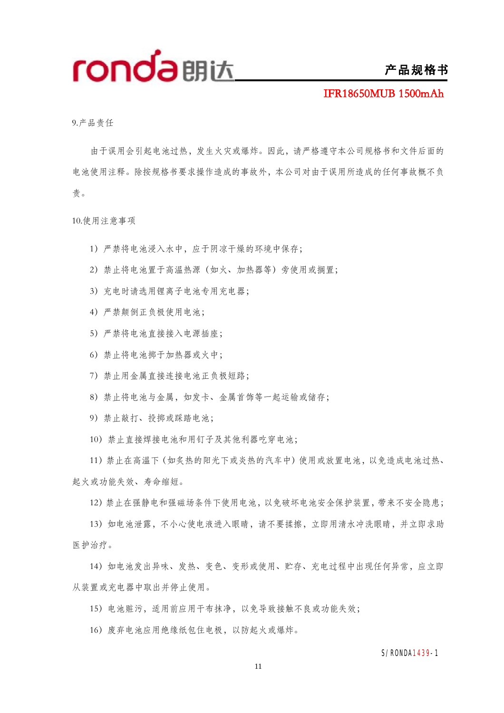

### **产品规格书**

**IFR18650MUB 1500mAh**

9.产品责任

由于误用会引起电池过热,发生火灾或爆炸。因此,请严格遵守本公司规格书和文件后面的 电池使用注释。除按规格书要求操作造成的事故外,本公司对由于误用所造成的任何事故概不负 责。

10.使用注意事项

- )严禁将电池浸入水中,应于阴凉干燥的环境中保存;
- )禁止将电池置于高温热源(如火、加热器等)旁使用或搁置;
- )充电时请选用锂离子电池专用充电器;
- )严禁颠倒正负极使用电池;
- )严禁将电池直接接入电源插座;
- )禁止将电池掷于加热器或火中;
- )禁止用金属直接连接电池正负极短路;
- )禁止将电池与金属,如发卡、金属首饰等一起运输或储存;
- )禁止敲打、投掷或踩踏电池;
- )禁止直接焊接电池和用钉子及其他利器吃穿电池;

)禁止在高温下(如炙热的阳光下或炎热的汽车中)使用或放置电池,以免造成电池过热、 起火或功能失效、寿命缩短。

)禁止在强静电和强磁场条件下使用电池,以免破坏电池安全保护装置,带来不安全隐患;

)如电池泄露,不小心使电液进入眼睛,请不要揉擦,立即用清水冲洗眼睛,并立即求助 医护治疗。

)如电池发出异味、发热、变色、变形或使用、贮存、充电过程中出现任何异常,应立即 从装置或充电器中取出并停止使用。

)电池赃污,适用前应用干布抹净,以免导致接触不良或功能失效;

)废弃电池应用绝缘纸包住电极,以防起火或爆炸。

#### S/RONDA1439-1